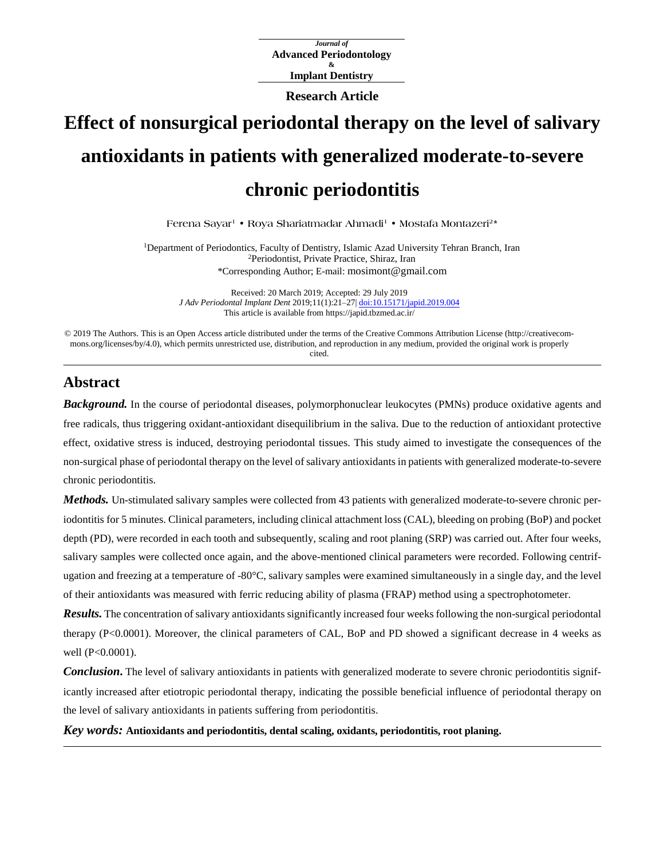*Journal of* **Advanced Periodontology & Implant Dentistry**

**Research Article**

# **Effect of nonsurgical periodontal therapy on the level of salivary antioxidants in patients with generalized moderate-to-severe chronic periodontitis**

**Ferena Sayar<sup>1</sup> • Roya Shariatmadar Ahmadi<sup>1</sup> • Mostafa Montazeri<sup>2</sup> \***

<sup>1</sup>Department of Periodontics, Faculty of Dentistry, Islamic Azad University Tehran Branch, Iran <sup>2</sup>Periodontist, Private Practice, Shiraz, Iran \*Corresponding Author; E-mail: mosimont@gmail.com

Received: 20 March 2019; Accepted: 29 July 2019 *J Adv Periodontal Implant Dent* 2019;11(1):21–27| [doi:10.15171/japid.2019.004](http://dx.doi.org/10.15171/japid.2019.004) This article is available from https://japid.tbzmed.ac.ir/

© 2019 The Authors. This is an Open Access article distributed under the terms of the Creative Commons Attribution License (http://creativecommons.org/licenses/by/4.0), which permits unrestricted use, distribution, and reproduction in any medium, provided the original work is properly cited.

## **Abstract**

*Background.* In the course of periodontal diseases, polymorphonuclear leukocytes (PMNs) produce oxidative agents and free radicals, thus triggering oxidant-antioxidant disequilibrium in the saliva. Due to the reduction of antioxidant protective effect, oxidative stress is induced, destroying periodontal tissues. This study aimed to investigate the consequences of the non-surgical phase of periodontal therapy on the level of salivary antioxidants in patients with generalized moderate-to-severe chronic periodontitis.

*Methods.* Un-stimulated salivary samples were collected from 43 patients with generalized moderate-to-severe chronic periodontitis for 5 minutes. Clinical parameters, including clinical attachment loss (CAL), bleeding on probing (BoP) and pocket depth (PD), were recorded in each tooth and subsequently, scaling and root planing (SRP) was carried out. After four weeks, salivary samples were collected once again, and the above-mentioned clinical parameters were recorded. Following centrifugation and freezing at a temperature of -80°C, salivary samples were examined simultaneously in a single day, and the level of their antioxidants was measured with ferric reducing ability of plasma (FRAP) method using a spectrophotometer.

*Results.* The concentration of salivary antioxidants significantly increased four weeks following the non-surgical periodontal therapy (P<0.0001). Moreover, the clinical parameters of CAL, BoP and PD showed a significant decrease in 4 weeks as well (P<0.0001).

*Conclusion*. The level of salivary antioxidants in patients with generalized moderate to severe chronic periodontitis significantly increased after etiotropic periodontal therapy, indicating the possible beneficial influence of periodontal therapy on the level of salivary antioxidants in patients suffering from periodontitis.

*Key words:* **Antioxidants and periodontitis, dental scaling, oxidants, periodontitis, root planing.**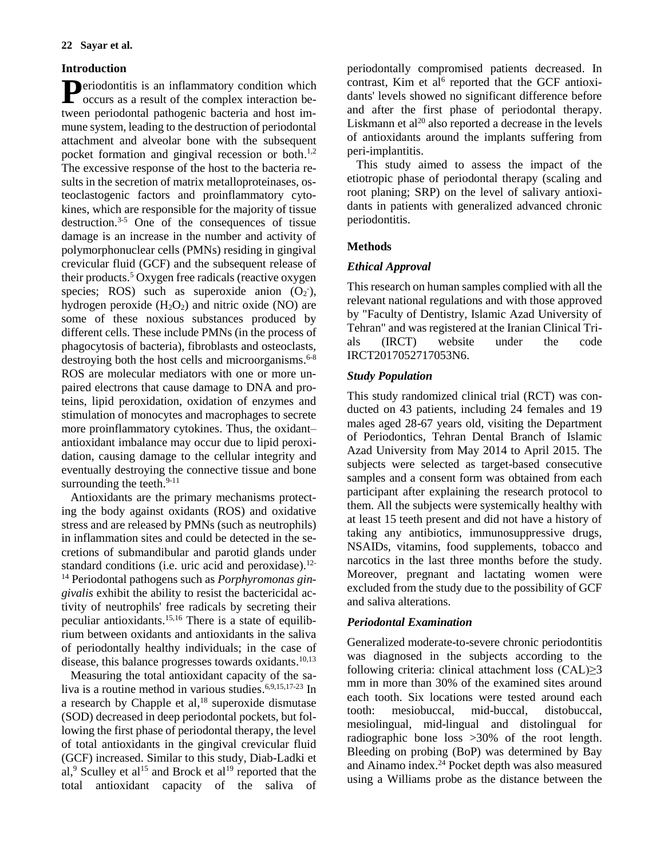## **Introduction**

eriodontitis is an inflammatory condition which **P**eriodontitis is an inflammatory condition which occurs as a result of the complex interaction between periodontal pathogenic bacteria and host immune system, leading to the destruction of periodontal attachment and alveolar bone with the subsequent pocket formation and gingival recession or both.<sup>1,2</sup> The excessive response of the host to the bacteria results in the secretion of matrix metalloproteinases, osteoclastogenic factors and proinflammatory cytokines, which are responsible for the majority of tissue destruction.3-5 One of the consequences of tissue damage is an increase in the number and activity of polymorphonuclear cells (PMNs) residing in gingival crevicular fluid (GCF) and the subsequent release of their products. <sup>5</sup> Oxygen free radicals (reactive oxygen species; ROS) such as superoxide anion  $(O_2)$ , hydrogen peroxide  $(H_2O_2)$  and nitric oxide (NO) are some of these noxious substances produced by different cells. These include PMNs (in the process of phagocytosis of bacteria), fibroblasts and osteoclasts, destroying both the host cells and microorganisms. 6-8 ROS are molecular mediators with one or more unpaired electrons that cause damage to DNA and proteins, lipid peroxidation, oxidation of enzymes and stimulation of monocytes and macrophages to secrete more proinflammatory cytokines. Thus, the oxidantantioxidant imbalance may occur due to lipid peroxidation, causing damage to the cellular integrity and eventually destroying the connective tissue and bone surrounding the teeth. $9-11$ 

Antioxidants are the primary mechanisms protecting the body against oxidants (ROS) and oxidative stress and are released by PMNs (such as neutrophils) in inflammation sites and could be detected in the secretions of submandibular and parotid glands under standard conditions (i.e. uric acid and peroxidase).<sup>12-</sup> <sup>14</sup> Periodontal pathogens such as *Porphyromonas gingivalis* exhibit the ability to resist the bactericidal activity of neutrophils' free radicals by secreting their peculiar antioxidants. 15,16 There is a state of equilibrium between oxidants and antioxidants in the saliva of periodontally healthy individuals; in the case of disease, this balance progresses towards oxidants.<sup>10,13</sup>

Measuring the total antioxidant capacity of the saliva is a routine method in various studies.<sup>6,9,15,17-23</sup> In a research by Chapple et al, <sup>18</sup> superoxide dismutase (SOD) decreased in deep periodontal pockets, but following the first phase of periodontal therapy, the level of total antioxidants in the gingival crevicular fluid (GCF) increased. Similar to this study, Diab-Ladki et al,<sup>9</sup> Sculley et al<sup>15</sup> and Brock et al<sup>19</sup> reported that the total antioxidant capacity of the saliva of

periodontally compromised patients decreased. In contrast, Kim et al<sup>6</sup> reported that the GCF antioxidants' levels showed no significant difference before and after the first phase of periodontal therapy. Liskmann et al<sup>20</sup> also reported a decrease in the levels of antioxidants around the implants suffering from peri-implantitis.

This study aimed to assess the impact of the etiotropic phase of periodontal therapy (scaling and root planing; SRP) on the level of salivary antioxidants in patients with generalized advanced chronic periodontitis.

## **Methods**

## *Ethical Approval*

This research on human samples complied with all the relevant national regulations and with those approved by "Faculty of Dentistry, Islamic Azad University of Tehran" and was registered at the Iranian Clinical Trials (IRCT) website under the code IRCT2017052717053N6.

## *Study Population*

This study randomized clinical trial (RCT) was conducted on 43 patients, including 24 females and 19 males aged 28-67 years old, visiting the Department of Periodontics, Tehran Dental Branch of Islamic Azad University from May 2014 to April 2015. The subjects were selected as target-based consecutive samples and a consent form was obtained from each participant after explaining the research protocol to them. All the subjects were systemically healthy with at least 15 teeth present and did not have a history of taking any antibiotics, immunosuppressive drugs, NSAIDs, vitamins, food supplements, tobacco and narcotics in the last three months before the study. Moreover, pregnant and lactating women were excluded from the study due to the possibility of GCF and saliva alterations.

## *Periodontal Examination*

Generalized moderate-to-severe chronic periodontitis was diagnosed in the subjects according to the following criteria: clinical attachment loss (CAL)≥3 mm in more than 30% of the examined sites around each tooth. Six locations were tested around each tooth: mesiobuccal, mid-buccal, distobuccal, mesiolingual, mid-lingual and distolingual for radiographic bone loss >30% of the root length. Bleeding on probing (BoP) was determined by Bay and Ainamo index. <sup>24</sup> Pocket depth was also measured using a Williams probe as the distance between the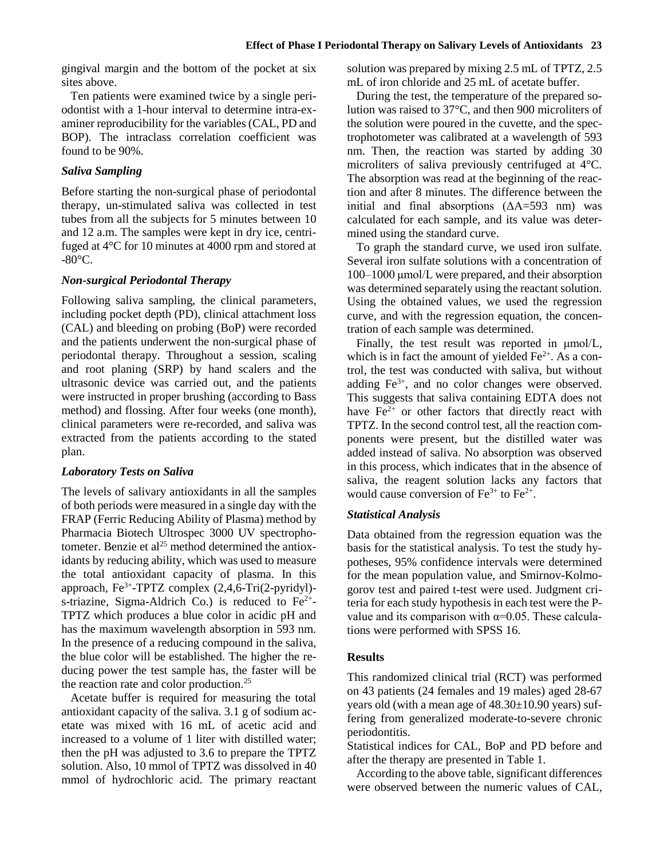gingival margin and the bottom of the pocket at six sites above.

Ten patients were examined twice by a single periodontist with a 1-hour interval to determine intra-examiner reproducibility for the variables (CAL, PD and BOP). The intraclass correlation coefficient was found to be 90%.

## *Saliva Sampling*

Before starting the non-surgical phase of periodontal therapy, un-stimulated saliva was collected in test tubes from all the subjects for 5 minutes between 10 and 12 a.m. The samples were kept in dry ice, centrifuged at 4°C for 10 minutes at 4000 rpm and stored at  $-80^{\circ}$ C.

### *Non-surgical Periodontal Therapy*

Following saliva sampling, the clinical parameters, including pocket depth (PD), clinical attachment loss (CAL) and bleeding on probing (BoP) were recorded and the patients underwent the non-surgical phase of periodontal therapy. Throughout a session, scaling and root planing (SRP) by hand scalers and the ultrasonic device was carried out, and the patients were instructed in proper brushing (according to Bass method) and flossing. After four weeks (one month), clinical parameters were re-recorded, and saliva was extracted from the patients according to the stated plan.

#### *Laboratory Tests on Saliva*

The levels of salivary antioxidants in all the samples of both periods were measured in a single day with the FRAP (Ferric Reducing Ability of Plasma) method by Pharmacia Biotech Ultrospec 3000 UV spectrophotometer. Benzie et al<sup>25</sup> method determined the antioxidants by reducing ability, which was used to measure the total antioxidant capacity of plasma. In this approach, Fe<sup>3+</sup>-TPTZ complex (2,4,6-Tri(2-pyridyl)s-triazine, Sigma-Aldrich Co.) is reduced to  $Fe^{2+}$ -TPTZ which produces a blue color in acidic pH and has the maximum wavelength absorption in 593 nm. In the presence of a reducing compound in the saliva, the blue color will be established. The higher the reducing power the test sample has, the faster will be the reaction rate and color production.<sup>25</sup>

Acetate buffer is required for measuring the total antioxidant capacity of the saliva. 3.1 g of sodium acetate was mixed with 16 mL of acetic acid and increased to a volume of 1 liter with distilled water; then the pH was adjusted to 3.6 to prepare the TPTZ solution. Also, 10 mmol of TPTZ was dissolved in 40 mmol of hydrochloric acid. The primary reactant solution was prepared by mixing 2.5 mL of TPTZ, 2.5 mL of iron chloride and 25 mL of acetate buffer.

During the test, the temperature of the prepared solution was raised to 37°C, and then 900 microliters of the solution were poured in the cuvette, and the spectrophotometer was calibrated at a wavelength of 593 nm. Then, the reaction was started by adding 30 microliters of saliva previously centrifuged at 4°C. The absorption was read at the beginning of the reaction and after 8 minutes. The difference between the initial and final absorptions  $(AA=593$  nm) was calculated for each sample, and its value was determined using the standard curve.

To graph the standard curve, we used iron sulfate. Several iron sulfate solutions with a concentration of 100‒1000 μmol/L were prepared, and their absorption was determined separately using the reactant solution. Using the obtained values, we used the regression curve, and with the regression equation, the concentration of each sample was determined.

Finally, the test result was reported in μmol/L, which is in fact the amount of yielded  $Fe<sup>2+</sup>$ . As a control, the test was conducted with saliva, but without adding  $Fe<sup>3+</sup>$ , and no color changes were observed. This suggests that saliva containing EDTA does not have  $Fe<sup>2+</sup>$  or other factors that directly react with TPTZ. In the second control test, all the reaction components were present, but the distilled water was added instead of saliva. No absorption was observed in this process, which indicates that in the absence of saliva, the reagent solution lacks any factors that would cause conversion of  $Fe^{3+}$  to  $Fe^{2+}$ .

#### *Statistical Analysis*

Data obtained from the regression equation was the basis for the statistical analysis. To test the study hypotheses, 95% confidence intervals were determined for the mean population value, and Smirnov-Kolmogorov test and paired t-test were used. Judgment criteria for each study hypothesis in each test were the Pvalue and its comparison with  $\alpha$ =0.05. These calculations were performed with SPSS 16.

#### **Results**

This randomized clinical trial (RCT) was performed on 43 patients (24 females and 19 males) aged 28-67 years old (with a mean age of  $48.30\pm10.90$  years) suffering from generalized moderate-to-severe chronic periodontitis.

Statistical indices for CAL, BoP and PD before and after the therapy are presented in Table 1.

According to the above table, significant differences were observed between the numeric values of CAL,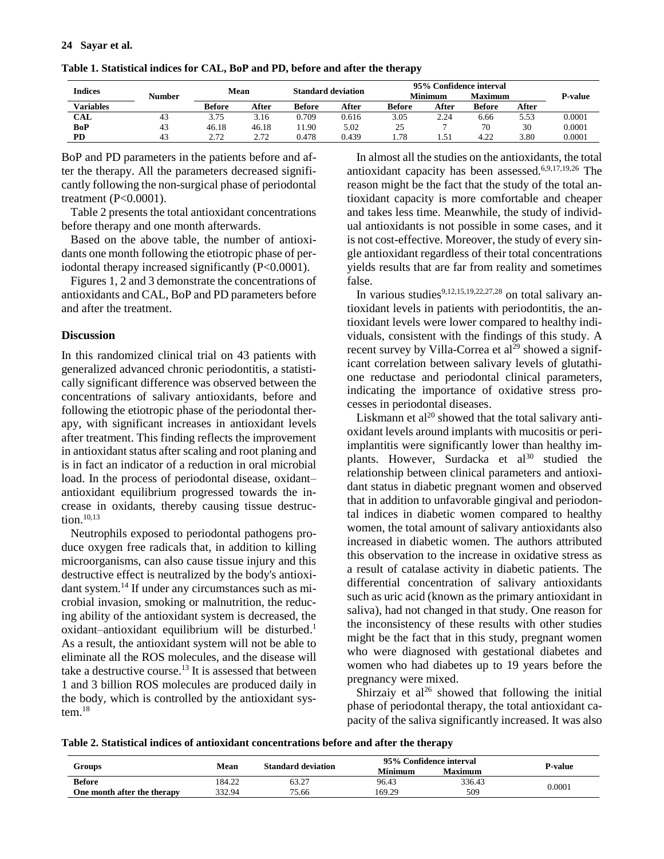| <b>Indices</b> | Number | Mean           |       | <b>Standard deviation</b> |       | 95% Confidence interval |       |                |       |                |
|----------------|--------|----------------|-------|---------------------------|-------|-------------------------|-------|----------------|-------|----------------|
|                |        |                |       |                           |       | Minimum                 |       | <b>Maximum</b> |       | <b>P-value</b> |
| Variables      |        | Before         | After | <b>Before</b>             | After | <b>Before</b>           | After | Before         | After |                |
| CAL            | 43     | 3.75           | 3.16  | 0.709                     | 0.616 | 3.05                    | 2.24  | 6.66           | 5.53  | 0.0001         |
| BoP            | 43     | 46.18          | 46.18 | 1.90                      | 5.02  | ت                       |       | 70             | 30    | 0.0001         |
| PD             | 43     | າ 71<br>2. I 2 | 2.72  | 0.478                     | 0.439 | 1.78                    |       | 4.22<br>.      | 3.80  | 0.0001         |

**Table 1. Statistical indices for CAL, BoP and PD, before and after the therapy**

BoP and PD parameters in the patients before and after the therapy. All the parameters decreased significantly following the non-surgical phase of periodontal treatment (P<0.0001).

Table 2 presents the total antioxidant concentrations before therapy and one month afterwards.

Based on the above table, the number of antioxidants one month following the etiotropic phase of periodontal therapy increased significantly (P<0.0001).

Figures 1, 2 and 3 demonstrate the concentrations of antioxidants and CAL, BoP and PD parameters before and after the treatment.

#### **Discussion**

In this randomized clinical trial on 43 patients with generalized advanced chronic periodontitis, a statistically significant difference was observed between the concentrations of salivary antioxidants, before and following the etiotropic phase of the periodontal therapy, with significant increases in antioxidant levels after treatment. This finding reflects the improvement in antioxidant status after scaling and root planing and is in fact an indicator of a reduction in oral microbial load. In the process of periodontal disease, oxidantantioxidant equilibrium progressed towards the increase in oxidants, thereby causing tissue destruction. 10,13

Neutrophils exposed to periodontal pathogens produce oxygen free radicals that, in addition to killing microorganisms, can also cause tissue injury and this destructive effect is neutralized by the body's antioxidant system. <sup>14</sup> If under any circumstances such as microbial invasion, smoking or malnutrition, the reducing ability of the antioxidant system is decreased, the oxidant-antioxidant equilibrium will be disturbed.<sup>1</sup> As a result, the antioxidant system will not be able to eliminate all the ROS molecules, and the disease will take a destructive course. <sup>13</sup> It is assessed that between 1 and 3 billion ROS molecules are produced daily in the body, which is controlled by the antioxidant system. 18

In almost all the studies on the antioxidants, the total antioxidant capacity has been assessed. 6,9,17,19,26 The reason might be the fact that the study of the total antioxidant capacity is more comfortable and cheaper and takes less time. Meanwhile, the study of individual antioxidants is not possible in some cases, and it is not cost-effective. Moreover, the study of every single antioxidant regardless of their total concentrations yields results that are far from reality and sometimes false.

In various studies<sup>9,12,15,19,22,27,28</sup> on total salivary antioxidant levels in patients with periodontitis, the antioxidant levels were lower compared to healthy individuals, consistent with the findings of this study. A recent survey by Villa-Correa et  $al^{29}$  showed a significant correlation between salivary levels of glutathione reductase and periodontal clinical parameters, indicating the importance of oxidative stress processes in periodontal diseases.

Liskmann et  $al^{20}$  showed that the total salivary antioxidant levels around implants with mucositis or periimplantitis were significantly lower than healthy implants. However, Surdacka et  $al^{30}$  studied the relationship between clinical parameters and antioxidant status in diabetic pregnant women and observed that in addition to unfavorable gingival and periodontal indices in diabetic women compared to healthy women, the total amount of salivary antioxidants also increased in diabetic women. The authors attributed this observation to the increase in oxidative stress as a result of catalase activity in diabetic patients. The differential concentration of salivary antioxidants such as uric acid (known as the primary antioxidant in saliva), had not changed in that study. One reason for the inconsistency of these results with other studies might be the fact that in this study, pregnant women who were diagnosed with gestational diabetes and women who had diabetes up to 19 years before the pregnancy were mixed.

Shirzaiy et al<sup>26</sup> showed that following the initial phase of periodontal therapy, the total antioxidant capacity of the saliva significantly increased. It was also

**Table 2. Statistical indices of antioxidant concentrations before and after the therapy**

|                             | Mean   | <b>Standard deviation</b> | 95% Confidence interval | P-value        |        |  |
|-----------------------------|--------|---------------------------|-------------------------|----------------|--------|--|
| Groups                      |        |                           | Minimum                 | <b>Maximum</b> |        |  |
| <b>Before</b>               | 184.22 | 63.27                     | 96.43                   | 336.43         | 0.0001 |  |
| One month after the therapy | 332.94 | 75.66                     | 169.29                  | 509            |        |  |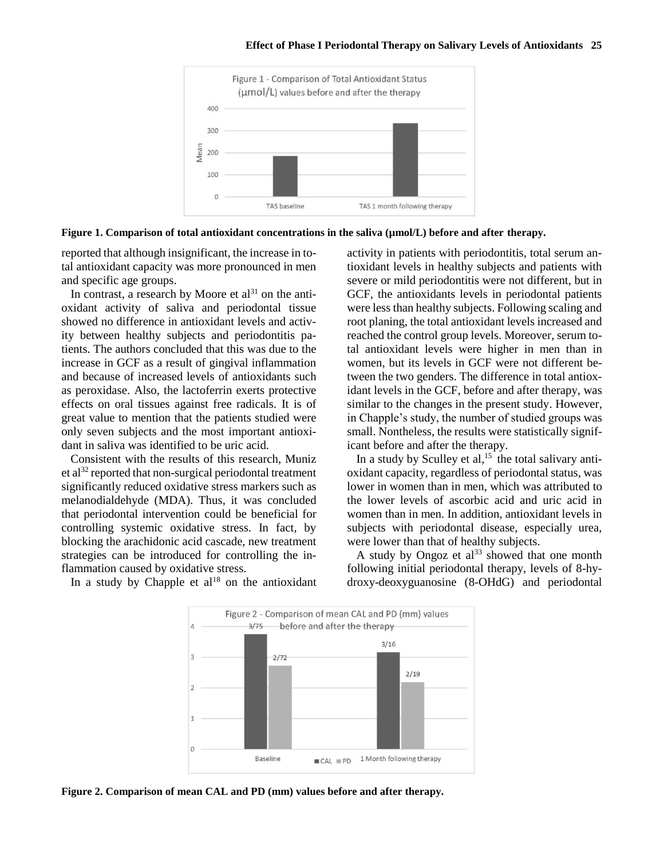

**Figure 1. Comparison of total antioxidant concentrations in the saliva (µmol/L) before and after therapy.**

reported that although insignificant, the increase in total antioxidant capacity was more pronounced in men and specific age groups.

In contrast, a research by Moore et  $al<sup>31</sup>$  on the antioxidant activity of saliva and periodontal tissue showed no difference in antioxidant levels and activity between healthy subjects and periodontitis patients. The authors concluded that this was due to the increase in GCF as a result of gingival inflammation and because of increased levels of antioxidants such as peroxidase. Also, the lactoferrin exerts protective effects on oral tissues against free radicals. It is of great value to mention that the patients studied were only seven subjects and the most important antioxidant in saliva was identified to be uric acid.

Consistent with the results of this research, Muniz et al<sup>32</sup> reported that non-surgical periodontal treatment significantly reduced oxidative stress markers such as melanodialdehyde (MDA). Thus, it was concluded that periodontal intervention could be beneficial for controlling systemic oxidative stress. In fact, by blocking the arachidonic acid cascade, new treatment strategies can be introduced for controlling the inflammation caused by oxidative stress.

activity in patients with periodontitis, total serum antioxidant levels in healthy subjects and patients with severe or mild periodontitis were not different, but in GCF, the antioxidants levels in periodontal patients were less than healthy subjects. Following scaling and root planing, the total antioxidant levels increased and reached the control group levels. Moreover, serum total antioxidant levels were higher in men than in women, but its levels in GCF were not different between the two genders. The difference in total antioxidant levels in the GCF, before and after therapy, was similar to the changes in the present study. However, in Chapple's study, the number of studied groups was small. Nontheless, the results were statistically significant before and after the therapy.

In a study by Sculley et al, $15$  the total salivary antioxidant capacity, regardless of periodontal status, was lower in women than in men, which was attributed to the lower levels of ascorbic acid and uric acid in women than in men. In addition, antioxidant levels in subjects with periodontal disease, especially urea, were lower than that of healthy subjects.

A study by Ongoz et  $al^{33}$  showed that one month following initial periodontal therapy, levels of 8-hydroxy-deoxyguanosine (8-OHdG) and periodontal

In a study by Chapple et  $al^{18}$  on the antioxidant



**Figure 2. Comparison of mean CAL and PD (mm) values before and after therapy.**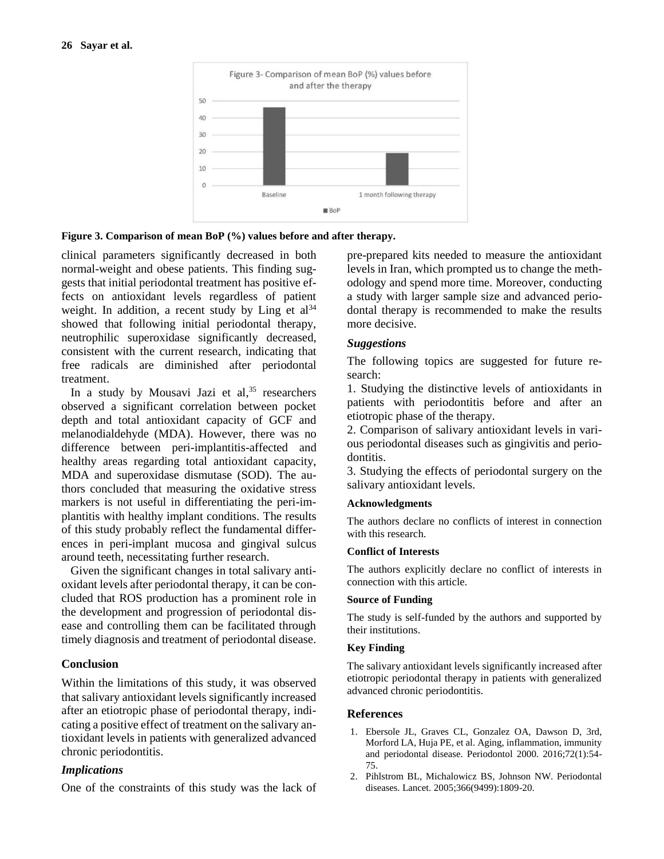



clinical parameters significantly decreased in both normal-weight and obese patients. This finding suggests that initial periodontal treatment has positive effects on antioxidant levels regardless of patient weight. In addition, a recent study by Ling et  $al^{34}$ showed that following initial periodontal therapy, neutrophilic superoxidase significantly decreased, consistent with the current research, indicating that free radicals are diminished after periodontal treatment.

In a study by Mousavi Jazi et al,<sup>35</sup> researchers observed a significant correlation between pocket depth and total antioxidant capacity of GCF and melanodialdehyde (MDA). However, there was no difference between peri-implantitis-affected and healthy areas regarding total antioxidant capacity, MDA and superoxidase dismutase (SOD). The authors concluded that measuring the oxidative stress markers is not useful in differentiating the peri-implantitis with healthy implant conditions. The results of this study probably reflect the fundamental differences in peri-implant mucosa and gingival sulcus around teeth, necessitating further research.

Given the significant changes in total salivary antioxidant levels after periodontal therapy, it can be concluded that ROS production has a prominent role in the development and progression of periodontal disease and controlling them can be facilitated through timely diagnosis and treatment of periodontal disease.

## **Conclusion**

Within the limitations of this study, it was observed that salivary antioxidant levels significantly increased after an etiotropic phase of periodontal therapy, indicating a positive effect of treatment on the salivary antioxidant levels in patients with generalized advanced chronic periodontitis.

## *Implications*

One of the constraints of this study was the lack of

pre-prepared kits needed to measure the antioxidant levels in Iran, which prompted us to change the methodology and spend more time. Moreover, conducting a study with larger sample size and advanced periodontal therapy is recommended to make the results more decisive.

### *Suggestions*

The following topics are suggested for future research:

1. Studying the distinctive levels of antioxidants in patients with periodontitis before and after an etiotropic phase of the therapy.

2. Comparison of salivary antioxidant levels in various periodontal diseases such as gingivitis and periodontitis.

3. Studying the effects of periodontal surgery on the salivary antioxidant levels.

#### **Acknowledgments**

The authors declare no conflicts of interest in connection with this research.

#### **Conflict of Interests**

The authors explicitly declare no conflict of interests in connection with this article.

#### **Source of Funding**

The study is self-funded by the authors and supported by their institutions.

#### **Key Finding**

The salivary antioxidant levels significantly increased after etiotropic periodontal therapy in patients with generalized advanced chronic periodontitis.

## **References**

- 1. Ebersole JL, Graves CL, Gonzalez OA, Dawson D, 3rd, Morford LA, Huja PE, et al. Aging, inflammation, immunity and periodontal disease. Periodontol 2000. 2016;72(1):54- 75.
- 2. Pihlstrom BL, Michalowicz BS, Johnson NW. Periodontal diseases. Lancet. 2005;366(9499):1809-20.